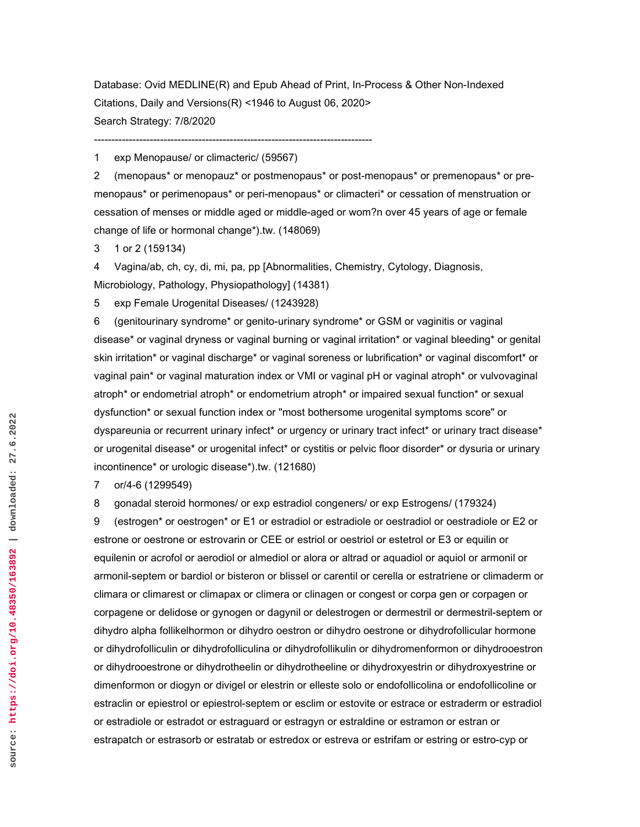Database: Ovid MEDLINE(R) and Epub Ahead of Print, In-Process & Other Non-Indexed Citations, Daily and Versions(R) <1946 to August 06, 2020> Search Strategy: 7/8/2020

1 exp Menopause/ or climacteric/ (59567)

--------------------------------------------------------------------------------

2 (menopaus\* or menopauz\* or postmenopaus\* or post-menopaus\* or premenopaus\* or premenopaus\* or perimenopaus\* or peri-menopaus\* or climacteri\* or cessation of menstruation or cessation of menses or middle aged or middle-aged or wom?n over 45 years of age or female change of life or hormonal change\*).tw. (148069)

3 1 or 2 (159134)

4 Vagina/ab, ch, cy, di, mi, pa, pp [Abnormalities, Chemistry, Cytology, Diagnosis, Microbiology, Pathology, Physiopathology] (14381)

5 exp Female Urogenital Diseases/ (1243928)

6 (genitourinary syndrome\* or genito-urinary syndrome\* or GSM or vaginitis or vaginal disease\* or vaginal dryness or vaginal burning or vaginal irritation\* or vaginal bleeding\* or genital skin irritation\* or vaginal discharge\* or vaginal soreness or lubrification\* or vaginal discomfort\* or vaginal pain\* or vaginal maturation index or VMI or vaginal pH or vaginal atroph\* or vulvovaginal atroph\* or endometrial atroph\* or endometrium atroph\* or impaired sexual function\* or sexual dysfunction\* or sexual function index or "most bothersome urogenital symptoms score" or dyspareunia or recurrent urinary infect\* or urgency or urinary tract infect\* or urinary tract disease\* or urogenital disease\* or urogenital infect\* or cystitis or pelvic floor disorder\* or dysuria or urinary incontinence\* or urologic disease\*).tw. (121680)

7 or/4-6 (1299549)

8 gonadal steroid hormones/ or exp estradiol congeners/ or exp Estrogens/ (179324)

9 (estrogen\* or oestrogen\* or E1 or estradiol or estradiole or oestradiol or oestradiole or E2 or estrone or oestrone or estrovarin or CEE or estriol or oestriol or estetrol or E3 or equilin or equilenin or acrofol or aerodiol or almediol or alora or altrad or aquadiol or aquiol or armonil or armonil-septem or bardiol or bisteron or blissel or carentil or cerella or estratriene or climaderm or climara or climarest or climapax or climera or clinagen or congest or corpa gen or corpagen or corpagene or delidose or gynogen or dagynil or delestrogen or dermestril or dermestril-septem or dihydro alpha follikelhormon or dihydro oestron or dihydro oestrone or dihydrofollicular hormone or dihydrofolliculin or dihydrofolliculina or dihydrofollikulin or dihydromenformon or dihydrooestron or dihydrooestrone or dihydrotheelin or dihydrotheeline or dihydroxyestrin or dihydroxyestrine or dimenformon or diogyn or divigel or elestrin or elleste solo or endofollicolina or endofollicoline or estraclin or epiestrol or epiestrol-septem or esclim or estovite or estrace or estraderm or estradiol or estradiole or estradot or estraguard or estragyn or estraldine or estramon or estran or estrapatch or estrasorb or estratab or estredox or estreva or estrifam or estring or estro-cyp or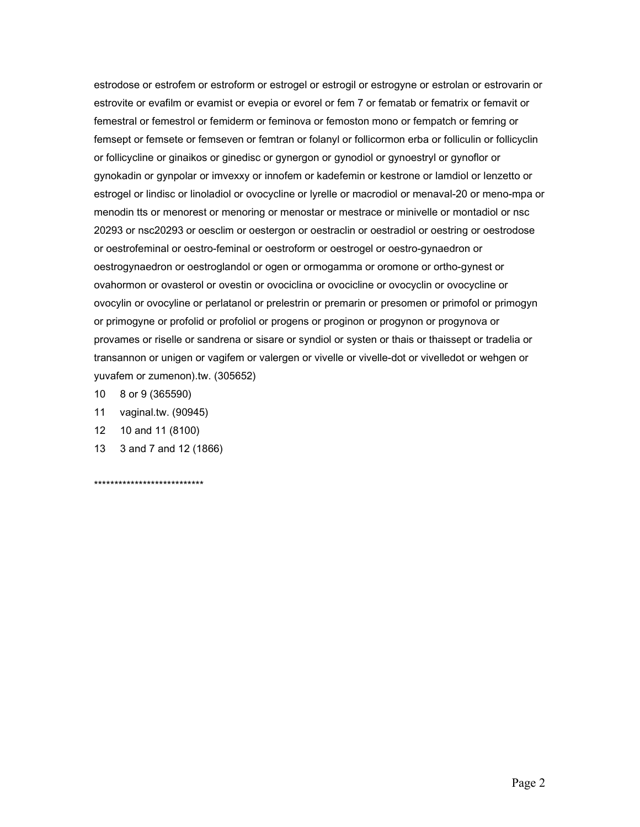estrodose or estrofem or estroform or estrogel or estrogil or estrogyne or estrolan or estrovarin or estrovite or evafilm or evamist or evepia or evorel or fem 7 or fematab or fematrix or femavit or femestral or femestrol or femiderm or feminova or femoston mono or fempatch or femring or femsept or femsete or femseven or femtran or folanyl or follicormon erba or folliculin or follicyclin or follicycline or ginaikos or ginedisc or gynergon or gynodiol or gynoestryl or gynoflor or gynokadin or gynpolar or imvexxy or innofem or kadefemin or kestrone or lamdiol or lenzetto or estrogel or lindisc or linoladiol or ovocycline or lyrelle or macrodiol or menaval-20 or meno-mpa or menodin tts or menorest or menoring or menostar or mestrace or minivelle or montadiol or nsc 20293 or nsc20293 or oesclim or oestergon or oestraclin or oestradiol or oestring or oestrodose or oestrofeminal or oestro-feminal or oestroform or oestrogel or oestro-gynaedron or oestrogynaedron or oestroglandol or ogen or ormogamma or oromone or ortho-gynest or ovahormon or ovasterol or ovestin or ovociclina or ovocicline or ovocyclin or ovocycline or ovocylin or ovocyline or perlatanol or prelestrin or premarin or presomen or primofol or primogyn or primogyne or profolid or profoliol or progens or proginon or progynon or progynova or provames or riselle or sandrena or sisare or syndiol or systen or thais or thaissept or tradelia or transannon or unigen or vagifem or valergen or vivelle or vivelle-dot or vivelledot or wehgen or yuvafem or zumenon).tw. (305652)

- 10 8 or 9 (365590)
- 11 vaginal.tw. (90945)
- 12 10 and 11 (8100)
- 13 3 and 7 and 12 (1866)

\*\*\*\*\*\*\*\*\*\*\*\*\*\*\*\*\*\*\*\*\*\*\*\*\*\*\*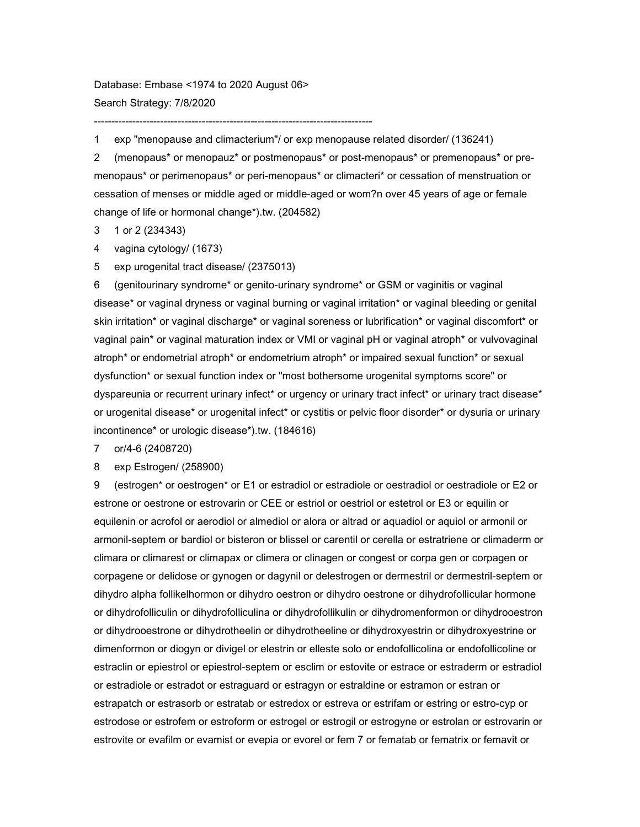Database: Embase <1974 to 2020 August 06> Search Strategy: 7/8/2020

--------------------------------------------------------------------------------

1 exp "menopause and climacterium"/ or exp menopause related disorder/ (136241)

2 (menopaus\* or menopauz\* or postmenopaus\* or post-menopaus\* or premenopaus\* or premenopaus\* or perimenopaus\* or peri-menopaus\* or climacteri\* or cessation of menstruation or cessation of menses or middle aged or middle-aged or wom?n over 45 years of age or female change of life or hormonal change\*).tw. (204582)

3 1 or 2 (234343)

4 vagina cytology/ (1673)

5 exp urogenital tract disease/ (2375013)

6 (genitourinary syndrome\* or genito-urinary syndrome\* or GSM or vaginitis or vaginal disease\* or vaginal dryness or vaginal burning or vaginal irritation\* or vaginal bleeding or genital skin irritation\* or vaginal discharge\* or vaginal soreness or lubrification\* or vaginal discomfort\* or vaginal pain\* or vaginal maturation index or VMI or vaginal pH or vaginal atroph\* or vulvovaginal atroph\* or endometrial atroph\* or endometrium atroph\* or impaired sexual function\* or sexual dysfunction\* or sexual function index or "most bothersome urogenital symptoms score" or dyspareunia or recurrent urinary infect\* or urgency or urinary tract infect\* or urinary tract disease\* or urogenital disease\* or urogenital infect\* or cystitis or pelvic floor disorder\* or dysuria or urinary incontinence\* or urologic disease\*).tw. (184616)

7 or/4-6 (2408720)

8 exp Estrogen/ (258900)

9 (estrogen\* or oestrogen\* or E1 or estradiol or estradiole or oestradiol or oestradiole or E2 or estrone or oestrone or estrovarin or CEE or estriol or oestriol or estetrol or E3 or equilin or equilenin or acrofol or aerodiol or almediol or alora or altrad or aquadiol or aquiol or armonil or armonil-septem or bardiol or bisteron or blissel or carentil or cerella or estratriene or climaderm or climara or climarest or climapax or climera or clinagen or congest or corpa gen or corpagen or corpagene or delidose or gynogen or dagynil or delestrogen or dermestril or dermestril-septem or dihydro alpha follikelhormon or dihydro oestron or dihydro oestrone or dihydrofollicular hormone or dihydrofolliculin or dihydrofolliculina or dihydrofollikulin or dihydromenformon or dihydrooestron or dihydrooestrone or dihydrotheelin or dihydrotheeline or dihydroxyestrin or dihydroxyestrine or dimenformon or diogyn or divigel or elestrin or elleste solo or endofollicolina or endofollicoline or estraclin or epiestrol or epiestrol-septem or esclim or estovite or estrace or estraderm or estradiol or estradiole or estradot or estraguard or estragyn or estraldine or estramon or estran or estrapatch or estrasorb or estratab or estredox or estreva or estrifam or estring or estro-cyp or estrodose or estrofem or estroform or estrogel or estrogil or estrogyne or estrolan or estrovarin or estrovite or evafilm or evamist or evepia or evorel or fem 7 or fematab or fematrix or femavit or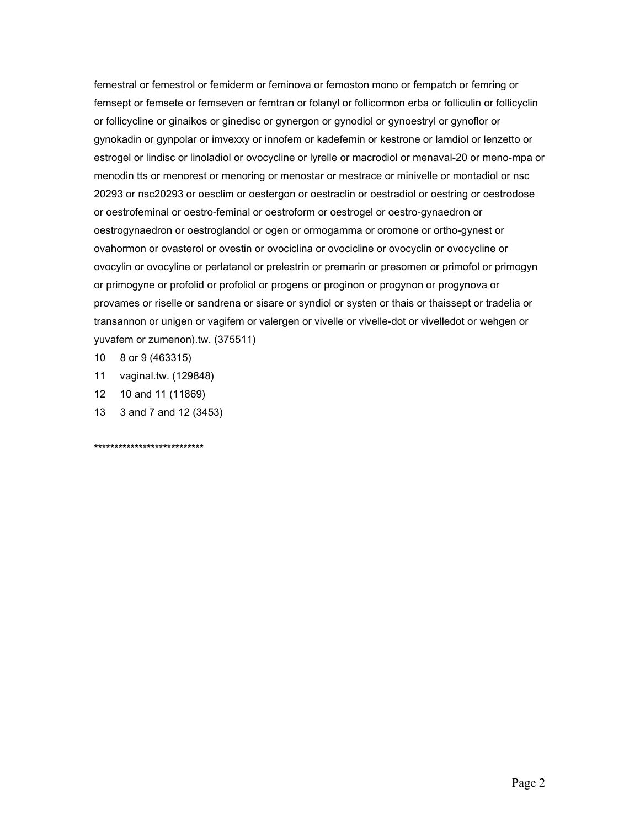femestral or femestrol or femiderm or feminova or femoston mono or fempatch or femring or femsept or femsete or femseven or femtran or folanyl or follicormon erba or folliculin or follicyclin or follicycline or ginaikos or ginedisc or gynergon or gynodiol or gynoestryl or gynoflor or gynokadin or gynpolar or imvexxy or innofem or kadefemin or kestrone or lamdiol or lenzetto or estrogel or lindisc or linoladiol or ovocycline or lyrelle or macrodiol or menaval-20 or meno-mpa or menodin tts or menorest or menoring or menostar or mestrace or minivelle or montadiol or nsc 20293 or nsc20293 or oesclim or oestergon or oestraclin or oestradiol or oestring or oestrodose or oestrofeminal or oestro-feminal or oestroform or oestrogel or oestro-gynaedron or oestrogynaedron or oestroglandol or ogen or ormogamma or oromone or ortho-gynest or ovahormon or ovasterol or ovestin or ovociclina or ovocicline or ovocyclin or ovocycline or ovocylin or ovocyline or perlatanol or prelestrin or premarin or presomen or primofol or primogyn or primogyne or profolid or profoliol or progens or proginon or progynon or progynova or provames or riselle or sandrena or sisare or syndiol or systen or thais or thaissept or tradelia or transannon or unigen or vagifem or valergen or vivelle or vivelle-dot or vivelledot or wehgen or yuvafem or zumenon).tw. (375511)

- 8 or 9 (463315)  $10$
- 11 vaginal.tw. (129848)
- $12<sup>12</sup>$ 10 and 11 (11869)
- $13<sup>7</sup>$ 3 and 7 and 12 (3453)

\*\*\*\*\*\*\*\*\*\*\*\*\*\*\*\*\*\*\*\*\*\*\*\*\*\*\*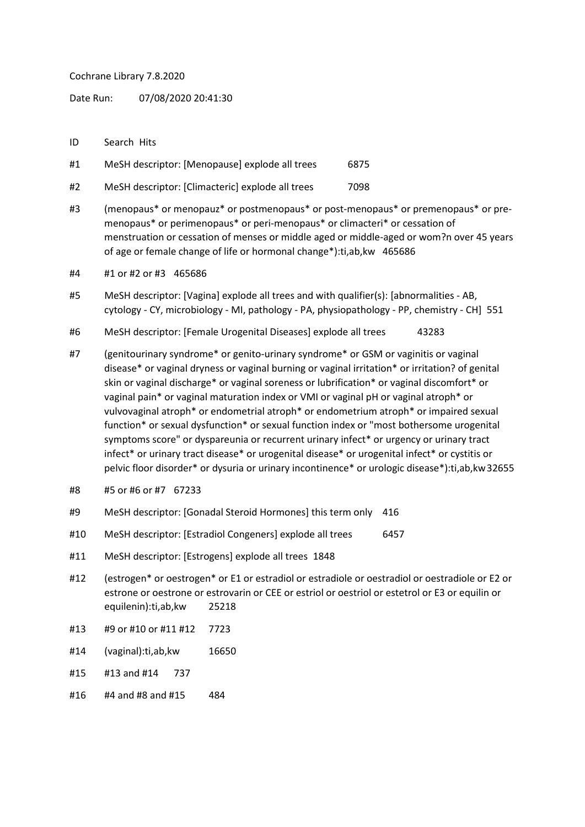## Cochrane Library 7.8.2020

Date Run: 07/08/2020 20:41:30

- ID Search Hits
- #1 MeSH descriptor: [Menopause] explode all trees 6875
- #2 MeSH descriptor: [Climacteric] explode all trees 7098
- #3 (menopaus\* or menopauz\* or postmenopaus\* or post-menopaus\* or premenopaus\* or premenopaus\* or perimenopaus\* or peri-menopaus\* or climacteri\* or cessation of menstruation or cessation of menses or middle aged or middle-aged or wom?n over 45 years of age or female change of life or hormonal change\*):ti,ab,kw 465686
- #4 #1 or #2 or #3 465686
- #5 MeSH descriptor: [Vagina] explode all trees and with qualifier(s): [abnormalities AB, cytology - CY, microbiology - MI, pathology - PA, physiopathology - PP, chemistry - CH] 551
- #6 MeSH descriptor: [Female Urogenital Diseases] explode all trees 43283
- #7 (genitourinary syndrome\* or genito-urinary syndrome\* or GSM or vaginitis or vaginal disease\* or vaginal dryness or vaginal burning or vaginal irritation\* or irritation? of genital skin or vaginal discharge\* or vaginal soreness or lubrification\* or vaginal discomfort\* or vaginal pain\* or vaginal maturation index or VMI or vaginal pH or vaginal atroph\* or vulvovaginal atroph\* or endometrial atroph\* or endometrium atroph\* or impaired sexual function\* or sexual dysfunction\* or sexual function index or "most bothersome urogenital symptoms score" or dyspareunia or recurrent urinary infect\* or urgency or urinary tract infect\* or urinary tract disease\* or urogenital disease\* or urogenital infect\* or cystitis or pelvic floor disorder\* or dysuria or urinary incontinence\* or urologic disease\*):ti,ab,kw32655
- #8 #5 or #6 or #7 67233
- #9 MeSH descriptor: [Gonadal Steroid Hormones] this term only 416
- #10 MeSH descriptor: [Estradiol Congeners] explode all trees 6457
- #11 MeSH descriptor: [Estrogens] explode all trees 1848
- #12 (estrogen\* or oestrogen\* or E1 or estradiol or estradiole or oestradiol or oestradiole or E2 or estrone or oestrone or estrovarin or CEE or estriol or oestriol or estetrol or E3 or equilin or equilenin):ti,ab,kw 25218
- #13 #9 or #10 or #11 #12 7723
- #14 (vaginal):ti,ab,kw 16650
- #15 #13 and #14 737
- #16 #4 and #8 and #15 484